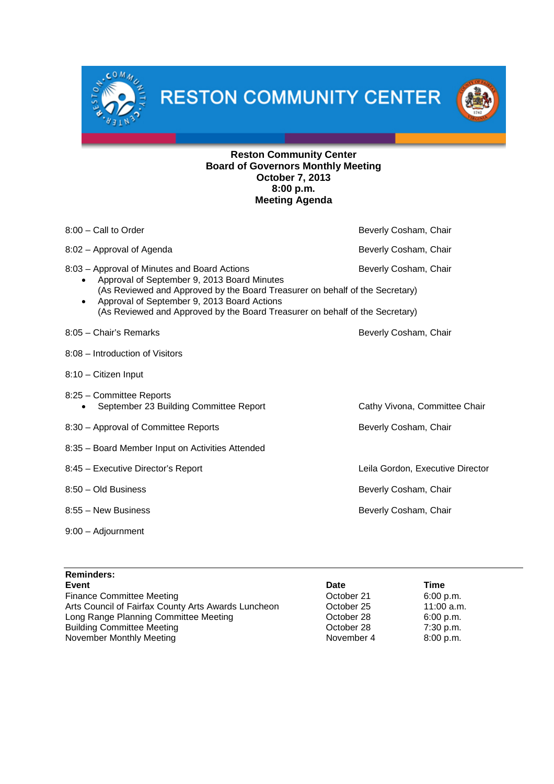**RESTON COMMUNITY CENTER** 

 $C^{0M}$ 



## **Reston Community Center Board of Governors Monthly Meeting October 7, 2013 8:00 p.m. Meeting Agenda**

| $8:00$ – Call to Order                                                                                                                   | Beverly Cosham, Chair            |
|------------------------------------------------------------------------------------------------------------------------------------------|----------------------------------|
| 8:02 - Approval of Agenda                                                                                                                | Beverly Cosham, Chair            |
| 8:03 - Approval of Minutes and Board Actions<br>Approval of September 9, 2013 Board Minutes                                              | Beverly Cosham, Chair            |
| (As Reviewed and Approved by the Board Treasurer on behalf of the Secretary)                                                             |                                  |
| Approval of September 9, 2013 Board Actions<br>$\bullet$<br>(As Reviewed and Approved by the Board Treasurer on behalf of the Secretary) |                                  |
| 8:05 - Chair's Remarks                                                                                                                   | Beverly Cosham, Chair            |
| 8:08 - Introduction of Visitors                                                                                                          |                                  |
| 8:10 - Citizen Input                                                                                                                     |                                  |
| 8:25 - Committee Reports                                                                                                                 |                                  |
| September 23 Building Committee Report                                                                                                   | Cathy Vivona, Committee Chair    |
| 8:30 - Approval of Committee Reports                                                                                                     | Beverly Cosham, Chair            |
| 8:35 - Board Member Input on Activities Attended                                                                                         |                                  |
| 8:45 - Executive Director's Report                                                                                                       | Leila Gordon, Executive Director |
| 8:50 - Old Business                                                                                                                      | Beverly Cosham, Chair            |
| 8:55 - New Business                                                                                                                      | Beverly Cosham, Chair            |
| 9:00 - Adjournment                                                                                                                       |                                  |

| <b>Reminders:</b>                                   |            |              |
|-----------------------------------------------------|------------|--------------|
| Event                                               | Date       | Time         |
| <b>Finance Committee Meeting</b>                    | October 21 | 6:00 p.m.    |
| Arts Council of Fairfax County Arts Awards Luncheon | October 25 | $11:00$ a.m. |
| Long Range Planning Committee Meeting               | October 28 | 6:00 p.m.    |
| <b>Building Committee Meeting</b>                   | October 28 | 7:30 p.m.    |
| November Monthly Meeting                            | November 4 | 8:00 p.m.    |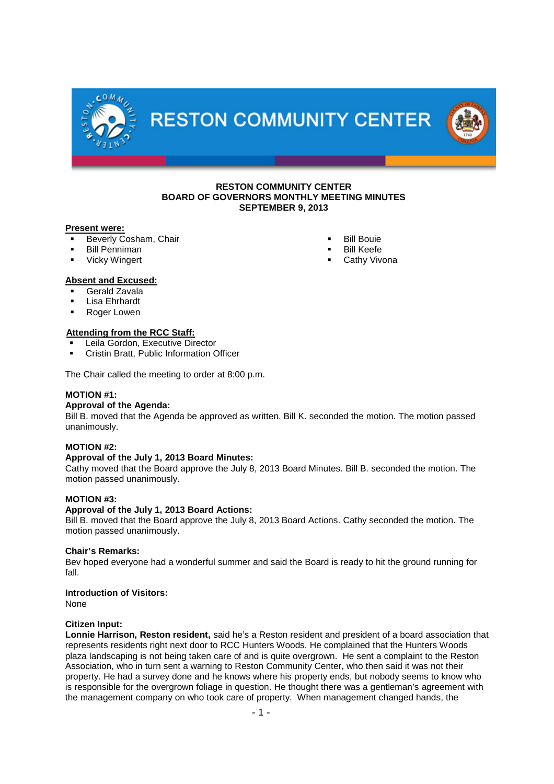

**RESTON COMMUNITY CENTER** 



### **RESTON COMMUNITY CENTER BOARD OF GOVERNORS MONTHLY MEETING MINUTES SEPTEMBER 9, 2013**

### **Present were:**

- Beverly Cosham, Chair
- Bill Penniman
- Vicky Wingert
- Bill Bouie
- Bill Keefe
- Cathy Vivona

## **Absent and Excused:**

- Gerald Zavala
- Lisa Ehrhardt
- Roger Lowen

## **Attending from the RCC Staff:**

- Leila Gordon, Executive Director
- Cristin Bratt, Public Information Officer

The Chair called the meeting to order at 8:00 p.m.

## **MOTION #1:**

## **Approval of the Agenda:**

Bill B. moved that the Agenda be approved as written. Bill K. seconded the motion. The motion passed unanimously.

## **MOTION #2:**

## **Approval of the July 1, 2013 Board Minutes:**

Cathy moved that the Board approve the July 8, 2013 Board Minutes. Bill B. seconded the motion. The motion passed unanimously.

#### **MOTION #3:**

## **Approval of the July 1, 2013 Board Actions:**

Bill B. moved that the Board approve the July 8, 2013 Board Actions. Cathy seconded the motion. The motion passed unanimously.

#### **Chair's Remarks:**

Bev hoped everyone had a wonderful summer and said the Board is ready to hit the ground running for fall.

# **Introduction of Visitors:**

None

## **Citizen Input:**

**Lonnie Harrison, Reston resident,** said he's a Reston resident and president of a board association that represents residents right next door to RCC Hunters Woods. He complained that the Hunters Woods plaza landscaping is not being taken care of and is quite overgrown. He sent a complaint to the Reston Association, who in turn sent a warning to Reston Community Center, who then said it was not their property. He had a survey done and he knows where his property ends, but nobody seems to know who is responsible for the overgrown foliage in question. He thought there was a gentleman's agreement with the management company on who took care of property. When management changed hands, the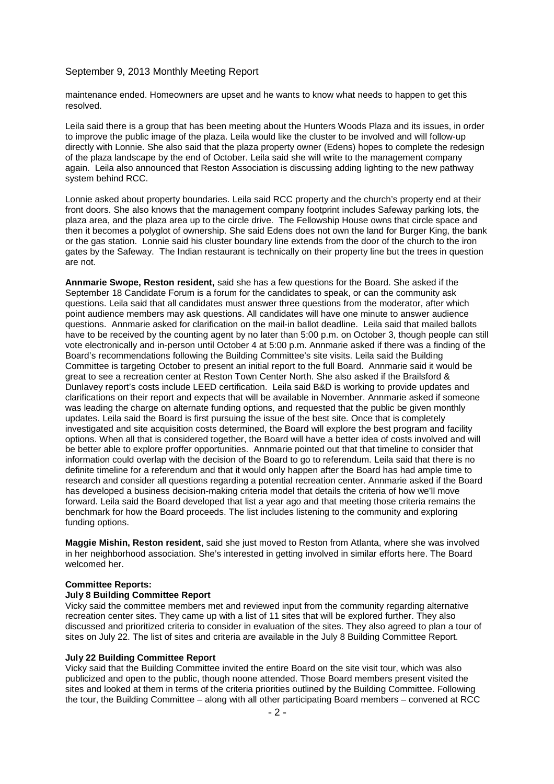maintenance ended. Homeowners are upset and he wants to know what needs to happen to get this resolved.

Leila said there is a group that has been meeting about the Hunters Woods Plaza and its issues, in order to improve the public image of the plaza. Leila would like the cluster to be involved and will follow-up directly with Lonnie. She also said that the plaza property owner (Edens) hopes to complete the redesign of the plaza landscape by the end of October. Leila said she will write to the management company again. Leila also announced that Reston Association is discussing adding lighting to the new pathway system behind RCC.

Lonnie asked about property boundaries. Leila said RCC property and the church's property end at their front doors. She also knows that the management company footprint includes Safeway parking lots, the plaza area, and the plaza area up to the circle drive. The Fellowship House owns that circle space and then it becomes a polyglot of ownership. She said Edens does not own the land for Burger King, the bank or the gas station. Lonnie said his cluster boundary line extends from the door of the church to the iron gates by the Safeway. The Indian restaurant is technically on their property line but the trees in question are not.

**Annmarie Swope, Reston resident,** said she has a few questions for the Board. She asked if the September 18 Candidate Forum is a forum for the candidates to speak, or can the community ask questions. Leila said that all candidates must answer three questions from the moderator, after which point audience members may ask questions. All candidates will have one minute to answer audience questions. Annmarie asked for clarification on the mail-in ballot deadline. Leila said that mailed ballots have to be received by the counting agent by no later than 5:00 p.m. on October 3, though people can still vote electronically and in-person until October 4 at 5:00 p.m. Annmarie asked if there was a finding of the Board's recommendations following the Building Committee's site visits. Leila said the Building Committee is targeting October to present an initial report to the full Board. Annmarie said it would be great to see a recreation center at Reston Town Center North. She also asked if the Brailsford & Dunlavey report's costs include LEED certification. Leila said B&D is working to provide updates and clarifications on their report and expects that will be available in November. Annmarie asked if someone was leading the charge on alternate funding options, and requested that the public be given monthly updates. Leila said the Board is first pursuing the issue of the best site. Once that is completely investigated and site acquisition costs determined, the Board will explore the best program and facility options. When all that is considered together, the Board will have a better idea of costs involved and will be better able to explore proffer opportunities. Annmarie pointed out that that timeline to consider that information could overlap with the decision of the Board to go to referendum. Leila said that there is no definite timeline for a referendum and that it would only happen after the Board has had ample time to research and consider all questions regarding a potential recreation center. Annmarie asked if the Board has developed a business decision-making criteria model that details the criteria of how we'll move forward. Leila said the Board developed that list a year ago and that meeting those criteria remains the benchmark for how the Board proceeds. The list includes listening to the community and exploring funding options.

**Maggie Mishin, Reston resident**, said she just moved to Reston from Atlanta, where she was involved in her neighborhood association. She's interested in getting involved in similar efforts here. The Board welcomed her.

## **Committee Reports:**

## **July 8 Building Committee Report**

Vicky said the committee members met and reviewed input from the community regarding alternative recreation center sites. They came up with a list of 11 sites that will be explored further. They also discussed and prioritized criteria to consider in evaluation of the sites. They also agreed to plan a tour of sites on July 22. The list of sites and criteria are available in the July 8 Building Committee Report.

### **July 22 Building Committee Report**

Vicky said that the Building Committee invited the entire Board on the site visit tour, which was also publicized and open to the public, though noone attended. Those Board members present visited the sites and looked at them in terms of the criteria priorities outlined by the Building Committee. Following the tour, the Building Committee – along with all other participating Board members – convened at RCC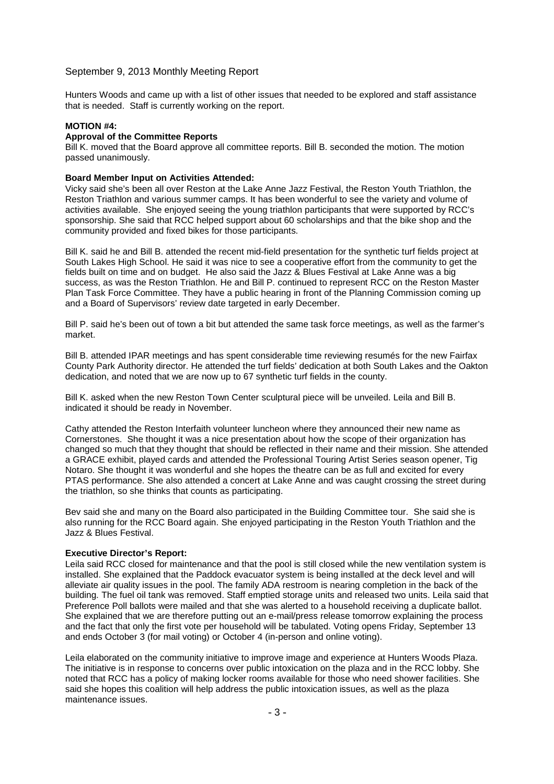Hunters Woods and came up with a list of other issues that needed to be explored and staff assistance that is needed. Staff is currently working on the report.

### **MOTION #4:**

## **Approval of the Committee Reports**

Bill K. moved that the Board approve all committee reports. Bill B. seconded the motion. The motion passed unanimously.

#### **Board Member Input on Activities Attended:**

Vicky said she's been all over Reston at the Lake Anne Jazz Festival, the Reston Youth Triathlon, the Reston Triathlon and various summer camps. It has been wonderful to see the variety and volume of activities available. She enjoyed seeing the young triathlon participants that were supported by RCC's sponsorship. She said that RCC helped support about 60 scholarships and that the bike shop and the community provided and fixed bikes for those participants.

Bill K. said he and Bill B. attended the recent mid-field presentation for the synthetic turf fields project at South Lakes High School. He said it was nice to see a cooperative effort from the community to get the fields built on time and on budget. He also said the Jazz & Blues Festival at Lake Anne was a big success, as was the Reston Triathlon. He and Bill P. continued to represent RCC on the Reston Master Plan Task Force Committee. They have a public hearing in front of the Planning Commission coming up and a Board of Supervisors' review date targeted in early December.

Bill P. said he's been out of town a bit but attended the same task force meetings, as well as the farmer's market.

Bill B. attended IPAR meetings and has spent considerable time reviewing resumés for the new Fairfax County Park Authority director. He attended the turf fields' dedication at both South Lakes and the Oakton dedication, and noted that we are now up to 67 synthetic turf fields in the county.

Bill K. asked when the new Reston Town Center sculptural piece will be unveiled. Leila and Bill B. indicated it should be ready in November.

Cathy attended the Reston Interfaith volunteer luncheon where they announced their new name as Cornerstones. She thought it was a nice presentation about how the scope of their organization has changed so much that they thought that should be reflected in their name and their mission. She attended a GRACE exhibit, played cards and attended the Professional Touring Artist Series season opener, Tig Notaro. She thought it was wonderful and she hopes the theatre can be as full and excited for every PTAS performance. She also attended a concert at Lake Anne and was caught crossing the street during the triathlon, so she thinks that counts as participating.

Bev said she and many on the Board also participated in the Building Committee tour. She said she is also running for the RCC Board again. She enjoyed participating in the Reston Youth Triathlon and the Jazz & Blues Festival.

#### **Executive Director's Report:**

Leila said RCC closed for maintenance and that the pool is still closed while the new ventilation system is installed. She explained that the Paddock evacuator system is being installed at the deck level and will alleviate air quality issues in the pool. The family ADA restroom is nearing completion in the back of the building. The fuel oil tank was removed. Staff emptied storage units and released two units. Leila said that Preference Poll ballots were mailed and that she was alerted to a household receiving a duplicate ballot. She explained that we are therefore putting out an e-mail/press release tomorrow explaining the process and the fact that only the first vote per household will be tabulated. Voting opens Friday, September 13 and ends October 3 (for mail voting) or October 4 (in-person and online voting).

Leila elaborated on the community initiative to improve image and experience at Hunters Woods Plaza. The initiative is in response to concerns over public intoxication on the plaza and in the RCC lobby. She noted that RCC has a policy of making locker rooms available for those who need shower facilities. She said she hopes this coalition will help address the public intoxication issues, as well as the plaza maintenance issues.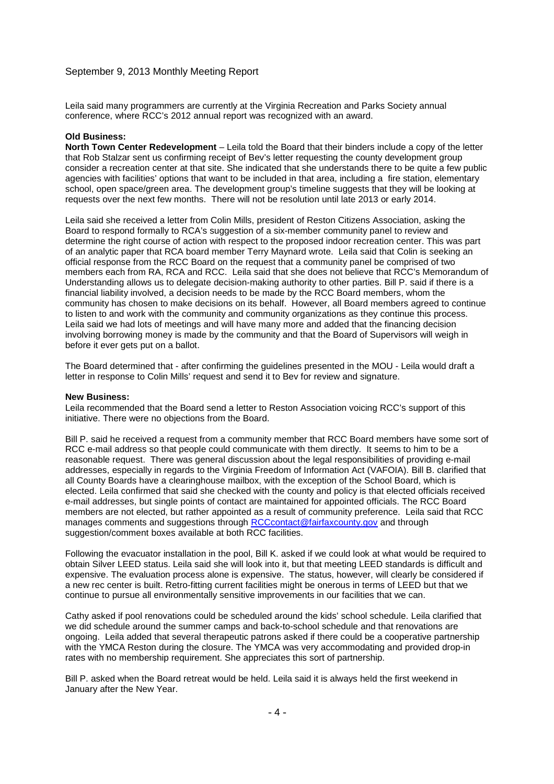Leila said many programmers are currently at the Virginia Recreation and Parks Society annual conference, where RCC's 2012 annual report was recognized with an award.

### **Old Business:**

**North Town Center Redevelopment** – Leila told the Board that their binders include a copy of the letter that Rob Stalzar sent us confirming receipt of Bev's letter requesting the county development group consider a recreation center at that site. She indicated that she understands there to be quite a few public agencies with facilities' options that want to be included in that area, including a fire station, elementary school, open space/green area. The development group's timeline suggests that they will be looking at requests over the next few months. There will not be resolution until late 2013 or early 2014.

Leila said she received a letter from Colin Mills, president of Reston Citizens Association, asking the Board to respond formally to RCA's suggestion of a six-member community panel to review and determine the right course of action with respect to the proposed indoor recreation center. This was part of an analytic paper that RCA board member Terry Maynard wrote. Leila said that Colin is seeking an official response from the RCC Board on the request that a community panel be comprised of two members each from RA, RCA and RCC. Leila said that she does not believe that RCC's Memorandum of Understanding allows us to delegate decision-making authority to other parties. Bill P. said if there is a financial liability involved, a decision needs to be made by the RCC Board members, whom the community has chosen to make decisions on its behalf. However, all Board members agreed to continue to listen to and work with the community and community organizations as they continue this process. Leila said we had lots of meetings and will have many more and added that the financing decision involving borrowing money is made by the community and that the Board of Supervisors will weigh in before it ever gets put on a ballot.

The Board determined that - after confirming the guidelines presented in the MOU - Leila would draft a letter in response to Colin Mills' request and send it to Bev for review and signature.

#### **New Business:**

Leila recommended that the Board send a letter to Reston Association voicing RCC's support of this initiative. There were no objections from the Board.

Bill P. said he received a request from a community member that RCC Board members have some sort of RCC e-mail address so that people could communicate with them directly. It seems to him to be a reasonable request. There was general discussion about the legal responsibilities of providing e-mail addresses, especially in regards to the Virginia Freedom of Information Act (VAFOIA). Bill B. clarified that all County Boards have a clearinghouse mailbox, with the exception of the School Board, which is elected. Leila confirmed that said she checked with the county and policy is that elected officials received e-mail addresses, but single points of contact are maintained for appointed officials. The RCC Board members are not elected, but rather appointed as a result of community preference. Leila said that RCC manages comments and suggestions through RCCcontact@fairfaxcounty.gov and through suggestion/comment boxes available at both RCC facilities.

Following the evacuator installation in the pool, Bill K. asked if we could look at what would be required to obtain Silver LEED status. Leila said she will look into it, but that meeting LEED standards is difficult and expensive. The evaluation process alone is expensive. The status, however, will clearly be considered if a new rec center is built. Retro-fitting current facilities might be onerous in terms of LEED but that we continue to pursue all environmentally sensitive improvements in our facilities that we can.

Cathy asked if pool renovations could be scheduled around the kids' school schedule. Leila clarified that we did schedule around the summer camps and back-to-school schedule and that renovations are ongoing. Leila added that several therapeutic patrons asked if there could be a cooperative partnership with the YMCA Reston during the closure. The YMCA was very accommodating and provided drop-in rates with no membership requirement. She appreciates this sort of partnership.

Bill P. asked when the Board retreat would be held. Leila said it is always held the first weekend in January after the New Year.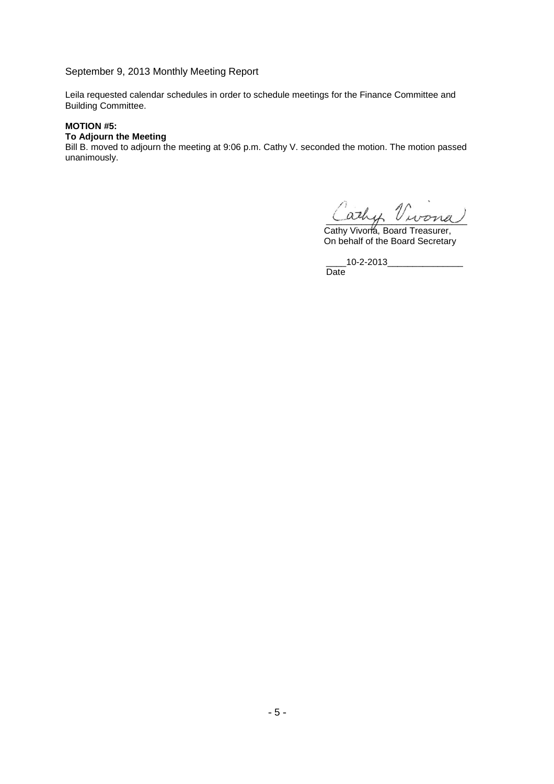Leila requested calendar schedules in order to schedule meetings for the Finance Committee and Building Committee.

## **MOTION #5:**

# **To Adjourn the Meeting**

Bill B. moved to adjourn the meeting at 9:06 p.m. Cathy V. seconded the motion. The motion passed unanimously.

\_\_\_\_\_\_\_\_\_\_\_\_\_\_\_\_\_\_\_\_\_\_\_\_\_\_\_\_

Cathy Vivona, Board Treasurer, On behalf of the Board Secretary

\_\_\_\_10-2-2013\_\_\_\_\_\_\_\_\_\_\_\_\_\_\_ Date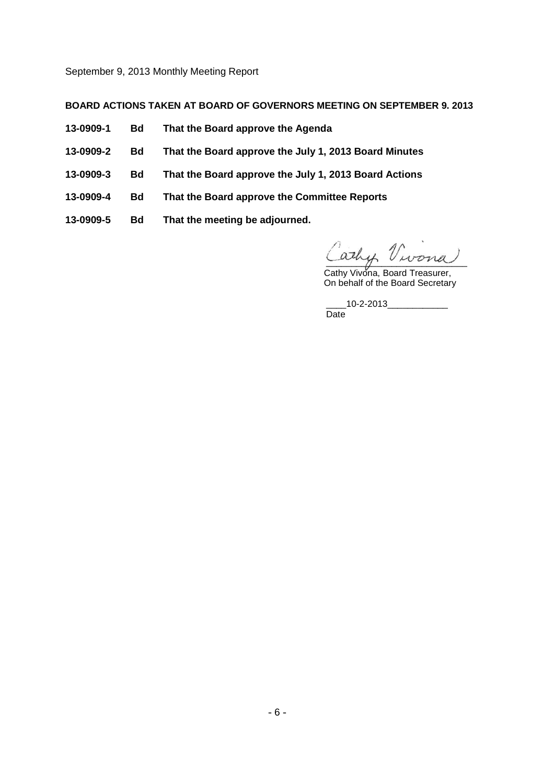## **BOARD ACTIONS TAKEN AT BOARD OF GOVERNORS MEETING ON SEPTEMBER 9. 2013**

- **13-0909-1 Bd That the Board approve the Agenda**
- **13-0909-2 Bd That the Board approve the July 1, 2013 Board Minutes**
- **13-0909-3 Bd That the Board approve the July 1, 2013 Board Actions**
- **13-0909-4 Bd That the Board approve the Committee Reports**
- **13-0909-5 Bd That the meeting be adjourned.**

\_\_\_\_\_\_\_\_\_\_\_\_\_\_\_\_\_\_\_\_\_\_\_\_\_\_\_\_

Cathy Vivona, Board Treasurer, On behalf of the Board Secretary

\_\_\_\_\_10-2-2013\_\_\_\_\_\_\_\_\_\_\_\_\_\_\_ Date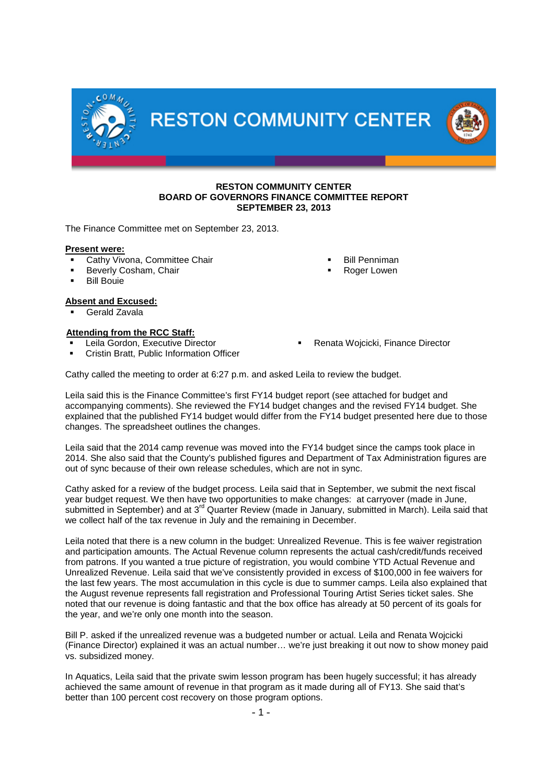

### **RESTON COMMUNITY CENTER BOARD OF GOVERNORS FINANCE COMMITTEE REPORT SEPTEMBER 23, 2013**

The Finance Committee met on September 23, 2013.

## **Present were:**

- Cathy Vivona, Committee Chair
- Beverly Cosham, Chair
- Bill Bouie

## **Absent and Excused:**

Gerald Zavala

## **Attending from the RCC Staff:**

- Leila Gordon, Executive Director
- Cristin Bratt, Public Information Officer
- Renata Wojcicki, Finance Director

 Bill Penniman Roger Lowen

Cathy called the meeting to order at 6:27 p.m. and asked Leila to review the budget.

Leila said this is the Finance Committee's first FY14 budget report (see attached for budget and accompanying comments). She reviewed the FY14 budget changes and the revised FY14 budget. She explained that the published FY14 budget would differ from the FY14 budget presented here due to those changes. The spreadsheet outlines the changes.

Leila said that the 2014 camp revenue was moved into the FY14 budget since the camps took place in 2014. She also said that the County's published figures and Department of Tax Administration figures are out of sync because of their own release schedules, which are not in sync.

Cathy asked for a review of the budget process. Leila said that in September, we submit the next fiscal year budget request. We then have two opportunities to make changes: at carryover (made in June, submitted in September) and at 3<sup>rd</sup> Quarter Review (made in January, submitted in March). Leila said that we collect half of the tax revenue in July and the remaining in December.

Leila noted that there is a new column in the budget: Unrealized Revenue. This is fee waiver registration and participation amounts. The Actual Revenue column represents the actual cash/credit/funds received from patrons. If you wanted a true picture of registration, you would combine YTD Actual Revenue and Unrealized Revenue. Leila said that we've consistently provided in excess of \$100,000 in fee waivers for the last few years. The most accumulation in this cycle is due to summer camps. Leila also explained that the August revenue represents fall registration and Professional Touring Artist Series ticket sales. She noted that our revenue is doing fantastic and that the box office has already at 50 percent of its goals for the year, and we're only one month into the season.

Bill P. asked if the unrealized revenue was a budgeted number or actual. Leila and Renata Wojcicki (Finance Director) explained it was an actual number… we're just breaking it out now to show money paid vs. subsidized money.

In Aquatics, Leila said that the private swim lesson program has been hugely successful; it has already achieved the same amount of revenue in that program as it made during all of FY13. She said that's better than 100 percent cost recovery on those program options.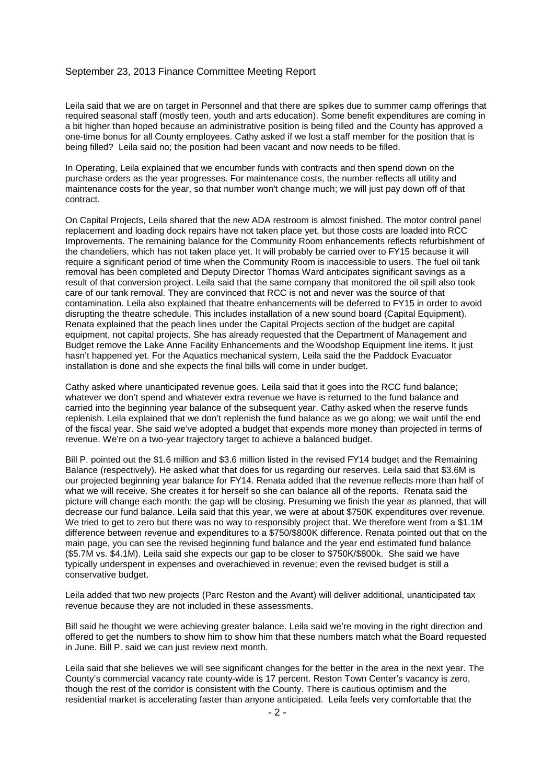### September 23, 2013 Finance Committee Meeting Report

Leila said that we are on target in Personnel and that there are spikes due to summer camp offerings that required seasonal staff (mostly teen, youth and arts education). Some benefit expenditures are coming in a bit higher than hoped because an administrative position is being filled and the County has approved a one-time bonus for all County employees. Cathy asked if we lost a staff member for the position that is being filled? Leila said no; the position had been vacant and now needs to be filled.

In Operating, Leila explained that we encumber funds with contracts and then spend down on the purchase orders as the year progresses. For maintenance costs, the number reflects all utility and maintenance costs for the year, so that number won't change much; we will just pay down off of that contract.

On Capital Projects, Leila shared that the new ADA restroom is almost finished. The motor control panel replacement and loading dock repairs have not taken place yet, but those costs are loaded into RCC Improvements. The remaining balance for the Community Room enhancements reflects refurbishment of the chandeliers, which has not taken place yet. It will probably be carried over to FY15 because it will require a significant period of time when the Community Room is inaccessible to users. The fuel oil tank removal has been completed and Deputy Director Thomas Ward anticipates significant savings as a result of that conversion project. Leila said that the same company that monitored the oil spill also took care of our tank removal. They are convinced that RCC is not and never was the source of that contamination. Leila also explained that theatre enhancements will be deferred to FY15 in order to avoid disrupting the theatre schedule. This includes installation of a new sound board (Capital Equipment). Renata explained that the peach lines under the Capital Projects section of the budget are capital equipment, not capital projects. She has already requested that the Department of Management and Budget remove the Lake Anne Facility Enhancements and the Woodshop Equipment line items. It just hasn't happened yet. For the Aquatics mechanical system, Leila said the the Paddock Evacuator installation is done and she expects the final bills will come in under budget.

Cathy asked where unanticipated revenue goes. Leila said that it goes into the RCC fund balance; whatever we don't spend and whatever extra revenue we have is returned to the fund balance and carried into the beginning year balance of the subsequent year. Cathy asked when the reserve funds replenish. Leila explained that we don't replenish the fund balance as we go along; we wait until the end of the fiscal year. She said we've adopted a budget that expends more money than projected in terms of revenue. We're on a two-year trajectory target to achieve a balanced budget.

Bill P. pointed out the \$1.6 million and \$3.6 million listed in the revised FY14 budget and the Remaining Balance (respectively). He asked what that does for us regarding our reserves. Leila said that \$3.6M is our projected beginning year balance for FY14. Renata added that the revenue reflects more than half of what we will receive. She creates it for herself so she can balance all of the reports. Renata said the picture will change each month; the gap will be closing. Presuming we finish the year as planned, that will decrease our fund balance. Leila said that this year, we were at about \$750K expenditures over revenue. We tried to get to zero but there was no way to responsibly project that. We therefore went from a \$1.1M difference between revenue and expenditures to a \$750/\$800K difference. Renata pointed out that on the main page, you can see the revised beginning fund balance and the year end estimated fund balance (\$5.7M vs. \$4.1M). Leila said she expects our gap to be closer to \$750K/\$800k. She said we have typically underspent in expenses and overachieved in revenue; even the revised budget is still a conservative budget.

Leila added that two new projects (Parc Reston and the Avant) will deliver additional, unanticipated tax revenue because they are not included in these assessments.

Bill said he thought we were achieving greater balance. Leila said we're moving in the right direction and offered to get the numbers to show him to show him that these numbers match what the Board requested in June. Bill P. said we can just review next month.

Leila said that she believes we will see significant changes for the better in the area in the next year. The County's commercial vacancy rate county-wide is 17 percent. Reston Town Center's vacancy is zero, though the rest of the corridor is consistent with the County. There is cautious optimism and the residential market is accelerating faster than anyone anticipated. Leila feels very comfortable that the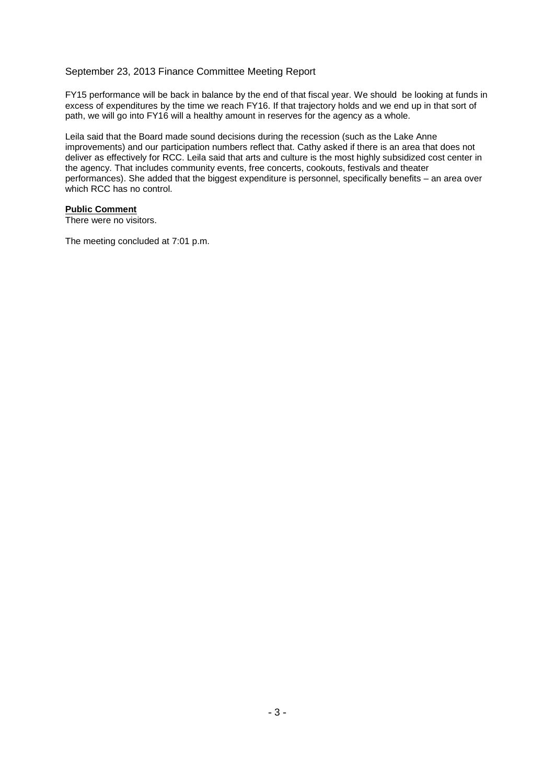## September 23, 2013 Finance Committee Meeting Report

FY15 performance will be back in balance by the end of that fiscal year. We should be looking at funds in excess of expenditures by the time we reach FY16. If that trajectory holds and we end up in that sort of path, we will go into FY16 will a healthy amount in reserves for the agency as a whole.

Leila said that the Board made sound decisions during the recession (such as the Lake Anne improvements) and our participation numbers reflect that. Cathy asked if there is an area that does not deliver as effectively for RCC. Leila said that arts and culture is the most highly subsidized cost center in the agency. That includes community events, free concerts, cookouts, festivals and theater performances). She added that the biggest expenditure is personnel, specifically benefits – an area over which RCC has no control.

## **Public Comment**

There were no visitors.

The meeting concluded at 7:01 p.m.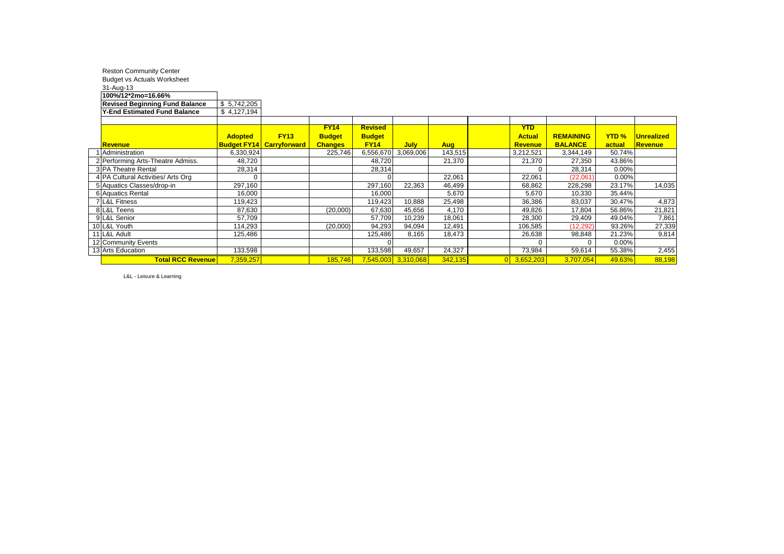| <b>Reston Community Center</b>                  |                           |                                 |                |                |                     |            |                |                  |              |                   |
|-------------------------------------------------|---------------------------|---------------------------------|----------------|----------------|---------------------|------------|----------------|------------------|--------------|-------------------|
| <b>Budget vs Actuals Worksheet</b><br>31-Aug-13 |                           |                                 |                |                |                     |            |                |                  |              |                   |
| 100%/12*2mo=16.66%                              |                           |                                 |                |                |                     |            |                |                  |              |                   |
| <b>Revised Beginning Fund Balance</b>           | $\overline{\$}$ 5,742,205 |                                 |                |                |                     |            |                |                  |              |                   |
| <b>Y-End Estimated Fund Balance</b>             | \$4,127,194               |                                 |                |                |                     |            |                |                  |              |                   |
|                                                 |                           |                                 |                |                |                     |            |                |                  |              |                   |
|                                                 |                           |                                 | <b>FY14</b>    | <b>Revised</b> |                     |            | <b>YTD</b>     |                  |              |                   |
|                                                 | <b>Adopted</b>            | <b>FY13</b>                     | <b>Budget</b>  | <b>Budget</b>  |                     |            | <b>Actual</b>  | <b>REMAINING</b> | <b>YTD %</b> | <b>Unrealized</b> |
| Revenue                                         |                           | <b>Budget FY14 Carryforward</b> | <b>Changes</b> | <b>FY14</b>    | <b>July</b>         | <b>Aug</b> | <b>Revenue</b> | <b>BALANCE</b>   | actual       | Revenue           |
| Administration                                  | 6,330,924                 |                                 | 225,746        | 6,556,670      | 3,069,006           | 143,515    | 3,212,521      | 3,344,149        | 50.74%       |                   |
| 2 Performing Arts-Theatre Admiss.               | 48,720                    |                                 |                | 48,720         |                     | 21,370     | 21,370         | 27,350           | 43.86%       |                   |
| 3 PA Theatre Rental                             | 28,314                    |                                 |                | 28,314         |                     |            | 0              | 28,314           | 0.00%        |                   |
| 4 PA Cultural Activities/ Arts Org              | $\Omega$                  |                                 |                | $\Omega$       |                     | 22,061     | 22,061         | (22,061)         | 0.00%        |                   |
| 5 Aquatics Classes/drop-in                      | 297,160                   |                                 |                | 297,160        | 22,363              | 46,499     | 68,862         | 228,298          | 23.17%       | 14,035            |
| 6 Aquatics Rental                               | 16,000                    |                                 |                | 16,000         |                     | 5,670      | 5,670          | 10,330           | 35.44%       |                   |
| 7 L&L Fitness                                   | 119,423                   |                                 |                | 119,423        | 10,888              | 25,498     | 36,386         | 83,037           | 30.47%       | 4,873             |
| 8 L&L Teens                                     | 87,630                    |                                 | (20,000)       | 67,630         | 45,656              | 4,170      | 49,826         | 17,804           | 56.86%       | 21,821            |
| 9 L&L Senior                                    | 57,709                    |                                 |                | 57,709         | 10,239              | 18,061     | 28,300         | 29,409           | 49.04%       | 7,861             |
| 10 L&L Youth                                    | 114,293                   |                                 | (20,000)       | 94,293         | 94,094              | 12,491     | 106,585        | (12, 292)        | 93.26%       | 27,339            |
| 11 L&L Adult                                    | 125,486                   |                                 |                | 125,486        | 8,165               | 18,473     | 26,638         | 98,848           | 21.23%       | 9,814             |
| 12 Community Events                             |                           |                                 |                | $\Omega$       |                     |            | $\Omega$       | $\Omega$         | 0.00%        |                   |
| 13 Arts Education                               | 133,598                   |                                 |                | 133,598        | 49,657              | 24,327     | 73,984         | 59,614           | 55.38%       | 2,455             |
| <b>Total RCC Revenue</b>                        | 7,359,257                 |                                 | 185,746        |                | 7,545,003 3,310,068 | 342,135    | 3,652,203      | 3,707,054        | 49.63%       | 88,198            |

L&L - Leisure & Learning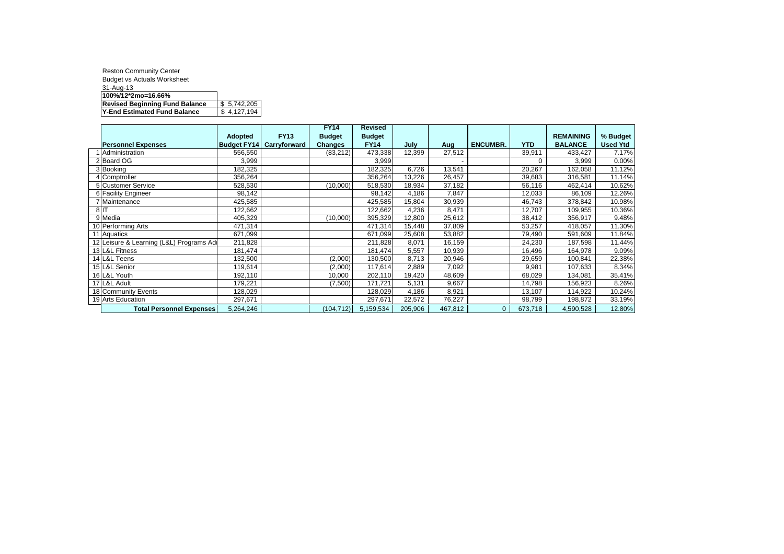| <b>Reston Community Center</b>        |             |
|---------------------------------------|-------------|
| <b>Budget vs Actuals Worksheet</b>    |             |
| 31-Aug-13                             |             |
| 100%/12*2mo=16.66%                    |             |
| <b>Revised Beginning Fund Balance</b> | \$5,742,205 |
| Y-End Estimated Fund Balance          | 4,127,194   |

|                                         |                    |              | <b>FY14</b>    | <b>Revised</b> |         |         |                 |            |                  |                 |
|-----------------------------------------|--------------------|--------------|----------------|----------------|---------|---------|-----------------|------------|------------------|-----------------|
|                                         | Adopted            | <b>FY13</b>  | <b>Budget</b>  | <b>Budget</b>  |         |         |                 |            | <b>REMAINING</b> | % Budget        |
| <b>Personnel Expenses</b>               | <b>Budget FY14</b> | Carryforward | <b>Changes</b> | <b>FY14</b>    | July    | Aug     | <b>ENCUMBR.</b> | <b>YTD</b> | <b>BALANCE</b>   | <b>Used Ytd</b> |
| Administration                          | 556,550            |              | (83,212)       | 473,338        | 12,399  | 27,512  |                 | 39,911     | 433,427          | 7.17%           |
| Board OG                                | 3,999              |              |                | 3,999          |         |         |                 | $\Omega$   | 3,999            | 0.00%           |
| 3 Booking                               | 182,325            |              |                | 182,325        | 6,726   | 13.541  |                 | 20,267     | 162,058          | 11.12%          |
| 4 Comptroller                           | 356,264            |              |                | 356,264        | 13,226  | 26,457  |                 | 39,683     | 316,581          | 11.14%          |
| 5 Customer Service                      | 528,530            |              | (10,000)       | 518,530        | 18,934  | 37,182  |                 | 56,116     | 462,414          | 10.62%          |
| 6 Facility Engineer                     | 98,142             |              |                | 98,142         | 4,186   | 7,847   |                 | 12,033     | 86,109           | 12.26%          |
| 7 Maintenance                           | 425,585            |              |                | 425,585        | 15,804  | 30,939  |                 | 46,743     | 378,842          | 10.98%          |
| 8 IT                                    | 122,662            |              |                | 122,662        | 4,236   | 8,471   |                 | 12,707     | 109,955          | 10.36%          |
| 9 Media                                 | 405,329            |              | (10,000)       | 395,329        | 12,800  | 25,612  |                 | 38,412     | 356,917          | 9.48%           |
| 10 Performing Arts                      | 471,314            |              |                | 471,314        | 15,448  | 37,809  |                 | 53,257     | 418,057          | 11.30%          |
| 11 Aquatics                             | 671,099            |              |                | 671,099        | 25,608  | 53,882  |                 | 79,490     | 591,609          | 11.84%          |
| 12 Leisure & Learning (L&L) Programs Ad | 211,828            |              |                | 211,828        | 8,071   | 16,159  |                 | 24,230     | 187,598          | 11.44%          |
| 13 L&L Fitness                          | 181,474            |              |                | 181,474        | 5,557   | 10,939  |                 | 16,496     | 164,978          | 9.09%           |
| 14 L&L Teens                            | 132,500            |              | (2,000)        | 130,500        | 8,713   | 20,946  |                 | 29,659     | 100,841          | 22.38%          |
| 15 L&L Senior                           | 119,614            |              | (2,000)        | 117,614        | 2,889   | 7,092   |                 | 9,981      | 107,633          | 8.34%           |
| 16 L&L Youth                            | 192,110            |              | 10,000         | 202,110        | 19,420  | 48,609  |                 | 68,029     | 134,081          | 35.41%          |
| 17 L&L Adult                            | 179,221            |              | (7,500)        | 171,721        | 5,131   | 9,667   |                 | 14,798     | 156,923          | 8.26%           |
| 18 Community Events                     | 128,029            |              |                | 128,029        | 4,186   | 8,921   |                 | 13,107     | 114,922          | 10.24%          |
| 19 Arts Education                       | 297,671            |              |                | 297,671        | 22,572  | 76,227  |                 | 98,799     | 198,872          | 33.19%          |
| Total Personnel Expenses                | 5,264,246          |              | (104, 712)     | 5,159,534      | 205,906 | 467,812 | $\mathbf{0}$    | 673,718    | 4,590,528        | 12.80%          |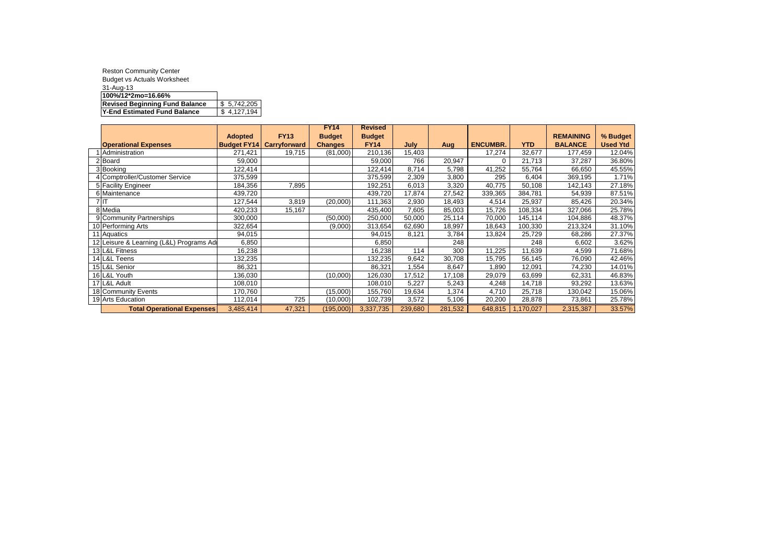| <b>Reston Community Center</b>        |             |
|---------------------------------------|-------------|
| <b>Budget vs Actuals Worksheet</b>    |             |
| 31-Aug-13                             |             |
| 100%/12*2mo=16.66%                    |             |
| <b>Revised Beginning Fund Balance</b> | \$5,742,205 |
| Y-End Estimated Fund Balance          | 4,127,194   |

|                                         |                    |                     | <b>FY14</b>    | <b>Revised</b> |         |         |                 |            |                  |                 |
|-----------------------------------------|--------------------|---------------------|----------------|----------------|---------|---------|-----------------|------------|------------------|-----------------|
|                                         | <b>Adopted</b>     | <b>FY13</b>         | <b>Budget</b>  | <b>Budget</b>  |         |         |                 |            | <b>REMAINING</b> | % Budget        |
| <b>Operational Expenses</b>             | <b>Budget FY14</b> | <b>Carryforward</b> | <b>Changes</b> | <b>FY14</b>    | July    | Aug     | <b>ENCUMBR.</b> | <b>YTD</b> | <b>BALANCE</b>   | <b>Used Ytd</b> |
| Administration                          | 271,421            | 19,715              | (81,000)       | 210,136        | 15,403  |         | 17,274          | 32,677     | 177,459          | 12.04%          |
| 2 Board                                 | 59,000             |                     |                | 59,000         | 766     | 20,947  | $\Omega$        | 21,713     | 37,287           | 36.80%          |
| 3 Booking                               | 122,414            |                     |                | 122,414        | 8,714   | 5,798   | 41,252          | 55,764     | 66,650           | 45.55%          |
| 4 Comptroller/Customer Service          | 375,599            |                     |                | 375,599        | 2,309   | 3,800   | 295             | 6,404      | 369,195          | 1.71%           |
| 5 Facility Engineer                     | 184,356            | 7,895               |                | 192,251        | 6,013   | 3,320   | 40,775          | 50,108     | 142,143          | 27.18%          |
| 6 Maintenance                           | 439,720            |                     |                | 439,720        | 17,874  | 27,542  | 339,365         | 384,781    | 54,939           | 87.51%          |
| 7 IT                                    | 127,544            | 3,819               | (20,000)       | 111,363        | 2,930   | 18,493  | 4,514           | 25,937     | 85,426           | 20.34%          |
| 8 Media                                 | 420,233            | 15,167              |                | 435,400        | 7,605   | 85,003  | 15,726          | 108,334    | 327,066          | 25.78%          |
| 9 Community Partnerships                | 300,000            |                     | (50,000)       | 250,000        | 50,000  | 25,114  | 70,000          | 145,114    | 104,886          | 48.37%          |
| 10 Performing Arts                      | 322,654            |                     | (9,000)        | 313,654        | 62,690  | 18,997  | 18,643          | 100,330    | 213,324          | 31.10%          |
| 11 Aquatics                             | 94,015             |                     |                | 94,015         | 8,121   | 3,784   | 13,824          | 25,729     | 68,286           | 27.37%          |
| 12 Leisure & Learning (L&L) Programs Ad | 6,850              |                     |                | 6,850          |         | 248     |                 | 248        | 6,602            | 3.62%           |
| 13 L&L Fitness                          | 16,238             |                     |                | 16,238         | 114     | 300     | 11,225          | 11,639     | 4,599            | 71.68%          |
| 14 L&L Teens                            | 132,235            |                     |                | 32,235         | 9,642   | 30,708  | 15,795          | 56,145     | 76,090           | 42.46%          |
| 15 L&L Senior                           | 86,321             |                     |                | 86,321         | 1,554   | 8,647   | 0.890           | 12,091     | 74,230           | 14.01%          |
| 16 L&L Youth                            | 136,030            |                     | (10,000)       | 126,030        | 17,512  | 17,108  | 29,079          | 63,699     | 62,331           | 46.83%          |
| 17 L&L Adult                            | 108,010            |                     |                | 108,010        | 5,227   | 5,243   | 4,248           | 14,718     | 93,292           | 13.63%          |
| 18 Community Events                     | 170,760            |                     | (15,000)       | 155,760        | 19,634  | 1,374   | 4,710           | 25,718     | 130,042          | 15.06%          |
| 19 Arts Education                       | 112,014            | 725                 | (10,000)       | 102,739        | 3,572   | 5,106   | 20,200          | 28,878     | 73,861           | 25.78%          |
| <b>Total Operational Expenses</b>       | 3,485,414          | 47,321              | (195,000)      | 3,337,735      | 239,680 | 281,532 | 648,815         | 1,170,027  | 2,315,387        | 33.57%          |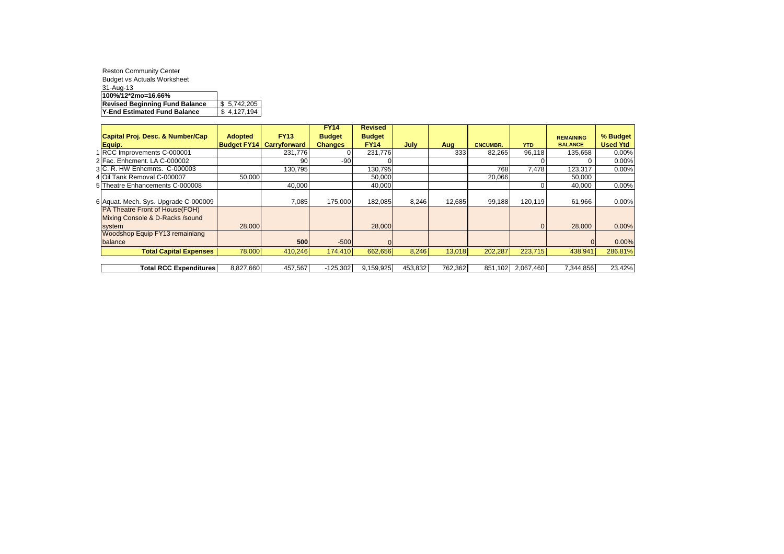| <b>Reston Community Center</b>        |             |
|---------------------------------------|-------------|
| <b>Budget vs Actuals Worksheet</b>    |             |
| 31-Aug-13                             |             |
| 100%/12*2mo=16.66%                    |             |
| <b>Revised Beginning Fund Balance</b> | \$5,742,205 |
| Y-End Estimated Fund Balance          | 4,127,194   |

|                                        |                    |                     | <b>FY14</b>    | <b>Revised</b> |         |         |                 |            |                  |                 |
|----------------------------------------|--------------------|---------------------|----------------|----------------|---------|---------|-----------------|------------|------------------|-----------------|
| Capital Proj. Desc. & Number/Cap       | <b>Adopted</b>     | <b>FY13</b>         | <b>Budget</b>  | <b>Budget</b>  |         |         |                 |            | <b>REMAINING</b> | % Budget        |
| Equip.                                 | <b>Budget FY14</b> | <b>Carryforward</b> | <b>Changes</b> | <b>FY14</b>    | July    | Aug     | <b>ENCUMBR.</b> | <b>YTD</b> | <b>BALANCE</b>   | <b>Used Ytd</b> |
| 1 RCC Improvements C-000001            |                    | 231.776             |                | 231.776        |         | 333     | 82.265          | 96.118     | 135.658          | 0.00%           |
| 2 Fac. Enhcment. LA C-000002           |                    | 90                  | $-90$          |                |         |         |                 |            | 0                | 0.00%           |
| 3 C. R. HW Enhcmnts. C-000003          |                    | 130.795             |                | 130.795        |         |         | 768             | 7.478      | 123.317          | 0.00%           |
| 4 Oil Tank Removal C-000007            | 50,000             |                     |                | 50,000         |         |         | 20,066          |            | 50,000           |                 |
| 5 Theatre Enhancements C-000008        |                    | 40,000              |                | 40,000         |         |         |                 |            | 40,000           | 0.00%           |
|                                        |                    |                     |                |                |         |         |                 |            |                  |                 |
| 6 Aquat. Mech. Sys. Upgrade C-000009   |                    | 7,085               | 175.000        | 182,085        | 8,246   | 12,685  | 99,188          | 120.119    | 61,966           | 0.00%           |
| <b>PA Theatre Front of House (FOH)</b> |                    |                     |                |                |         |         |                 |            |                  |                 |
| Mixing Console & D-Racks /sound        |                    |                     |                |                |         |         |                 |            |                  |                 |
| system                                 | 28,000             |                     |                | 28,000         |         |         |                 | $\Omega$   | 28,000           | 0.00%           |
| <b>Woodshop Equip FY13 remainiang</b>  |                    |                     |                |                |         |         |                 |            |                  |                 |
| balance                                |                    | 500                 | $-500$         |                |         |         |                 |            | $\Omega$         | 0.00%           |
| <b>Total Capital Expenses</b>          | 78,000             | 410,246             | 174.410        | 662,656        | 8,246   | 13,018  | 202,287         | 223,715    | 438,941          | 286.81%         |
|                                        |                    |                     |                |                |         |         |                 |            |                  |                 |
| <b>Total RCC Expenditures</b>          | 8,827,660          | 457,567             | $-125,302$     | 9,159,925      | 453,832 | 762,362 | 851.102         | 2,067,460  | 7.344.856        | 23.42%          |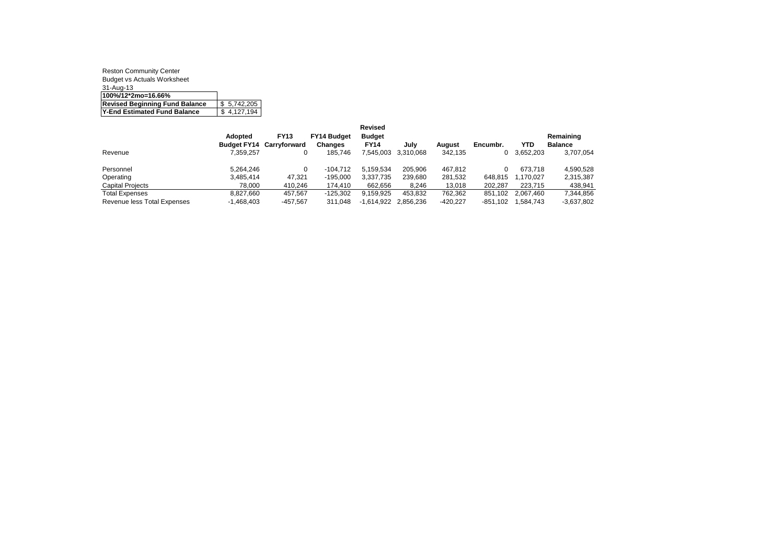| <b>Reston Community Center</b>        |             |
|---------------------------------------|-------------|
| <b>Budget vs Actuals Worksheet</b>    |             |
| 31-Aug-13                             |             |
| 100%/12*2mo=16.66%                    |             |
| <b>Revised Beginning Fund Balance</b> | \$5.742.205 |
| Y-End Estimated Fund Balance          | \$4,127,194 |

|                             |              |                                 |                    | <b>Revised</b> |           |            |          |           |                |
|-----------------------------|--------------|---------------------------------|--------------------|----------------|-----------|------------|----------|-----------|----------------|
|                             | Adopted      | <b>FY13</b>                     | <b>FY14 Budget</b> | <b>Budget</b>  |           |            |          |           | Remaining      |
|                             |              | <b>Budget FY14 Carryforward</b> | Changes            | <b>FY14</b>    | July      | August     | Encumbr. | YTD       | <b>Balance</b> |
| Revenue                     | 7.359.257    |                                 | 185.746            | 7.545.003      | 3.310.068 | 342.135    | 0        | 3.652.203 | 3,707,054      |
| Personnel                   | 5.264.246    |                                 | $-104.712$         | 5.159.534      | 205.906   | 467.812    |          | 673.718   | 4.590.528      |
| Operating                   | 3.485.414    | 47.321                          | $-195.000$         | 3.337.735      | 239.680   | 281.532    | 648.815  | 1.170.027 | 2,315,387      |
| <b>Capital Projects</b>     | 78.000       | 410.246                         | 174.410            | 662.656        | 8,246     | 13,018     | 202.287  | 223.715   | 438,941        |
| <b>Total Expenses</b>       | 8.827.660    | 457.567                         | $-125.302$         | 9.159.925      | 453.832   | 762,362    | 851.102  | 2.067.460 | 7,344,856      |
| Revenue less Total Expenses | $-1.468.403$ | $-457.567$                      | 311.048            | $-1.614.922$   | 2.856.236 | $-420.227$ | -851.102 | 1.584.743 | $-3,637,802$   |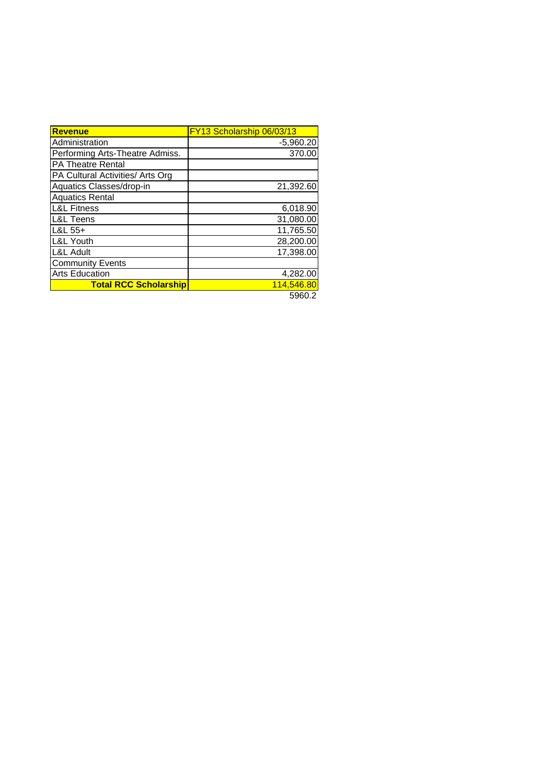| <b>Revenue</b>                   | FY13 Scholarship 06/03/13 |
|----------------------------------|---------------------------|
| Administration                   | $-5,960.20$               |
| Performing Arts-Theatre Admiss.  | 370.00                    |
| <b>PA Theatre Rental</b>         |                           |
| PA Cultural Activities/ Arts Org |                           |
| Aquatics Classes/drop-in         | 21,392.60                 |
| <b>Aquatics Rental</b>           |                           |
| <b>L&amp;L Fitness</b>           | 6,018.90                  |
| <b>L&amp;L Teens</b>             | 31,080.00                 |
| $L&L55+$                         | 11,765.50                 |
| <b>L&amp;L Youth</b>             | 28,200.00                 |
| <b>L&amp;L Adult</b>             | 17,398.00                 |
| <b>Community Events</b>          |                           |
| <b>Arts Education</b>            | 4,282.00                  |
| <b>Total RCC Scholarship</b>     | 114,546.80                |
|                                  | 5960.2                    |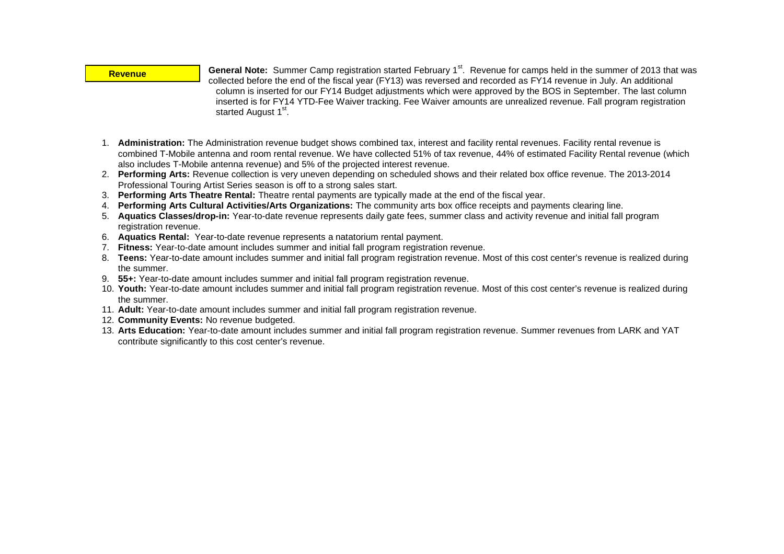#### **Revenue**

General Note: Summer Camp registration started February 1<sup>st</sup>. Revenue for camps held in the summer of 2013 that was collected before the end of the fiscal year (FY13) was reversed and recorded as FY14 revenue in July. An additional column is inserted for our FY14 Budget adjustments which were approved by the BOS in September. The last column inserted is for FY14 YTD-Fee Waiver tracking. Fee Waiver amounts are unrealized revenue. Fall program registration started August 1<sup>st</sup>.

- 1. **Administration:** The Administration revenue budget shows combined tax, interest and facility rental revenues. Facility rental revenue is combined T-Mobile antenna and room rental revenue. We have collected 51% of tax revenue, 44% of estimated Facility Rental revenue (which also includes T-Mobile antenna revenue) and 5% of the projected interest revenue.
- 2. **Performing Arts:** Revenue collection is very uneven depending on scheduled shows and their related box office revenue. The 2013-2014 Professional Touring Artist Series season is off to a strong sales start.
- 3. **Performing Arts Theatre Rental:** Theatre rental payments are typically made at the end of the fiscal year.
- 4. **Performing Arts Cultural Activities/Arts Organizations:** The community arts box office receipts and payments clearing line.
- 5. **Aquatics Classes/drop-in:** Year-to-date revenue represents daily gate fees, summer class and activity revenue and initial fall program registration revenue.
- 6. **Aquatics Rental:** Year-to-date revenue represents a natatorium rental payment.
- 7. **Fitness:** Year-to-date amount includes summer and initial fall program registration revenue.
- 8. **Teens:** Year-to-date amount includes summer and initial fall program registration revenue. Most of this cost center's revenue is realized during the summer.
- 9. **55+:** Year-to-date amount includes summer and initial fall program registration revenue.
- 10. **Youth:** Year-to-date amount includes summer and initial fall program registration revenue. Most of this cost center's revenue is realized during the summer.
- 11. **Adult:** Year-to-date amount includes summer and initial fall program registration revenue.
- 12. **Community Events:** No revenue budgeted.
- 13. **Arts Education:** Year-to-date amount includes summer and initial fall program registration revenue. Summer revenues from LARK and YAT contribute significantly to this cost center's revenue.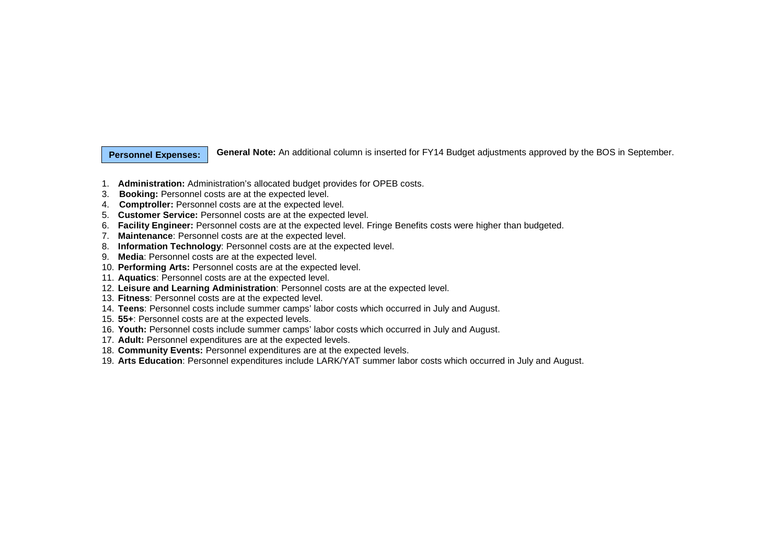#### **Personnel Expenses:**

**General Note:** An additional column is inserted for FY14 Budget adjustments approved by the BOS in September.

- 1. **Administration:** Administration's allocated budget provides for OPEB costs.
- 3. **Booking:** Personnel costs are at the expected level.
- 4. **Comptroller:** Personnel costs are at the expected level.
- 5. **Customer Service:** Personnel costs are at the expected level.
- 6. **Facility Engineer:** Personnel costs are at the expected level. Fringe Benefits costs were higher than budgeted.
- 7. **Maintenance**: Personnel costs are at the expected level.
- 8. **Information Technology**: Personnel costs are at the expected level.
- 9. **Media**: Personnel costs are at the expected level.
- 10. **Performing Arts:** Personnel costs are at the expected level.
- 11. **Aquatics**: Personnel costs are at the expected level.
- 12. **Leisure and Learning Administration**: Personnel costs are at the expected level.
- 13. **Fitness**: Personnel costs are at the expected level.
- 14. **Teens**: Personnel costs include summer camps' labor costs which occurred in July and August.
- 15. **55+**: Personnel costs are at the expected levels.
- 16. **Youth:** Personnel costs include summer camps' labor costs which occurred in July and August.
- 17. **Adult:** Personnel expenditures are at the expected levels.
- 18. **Community Events:** Personnel expenditures are at the expected levels.
- 19. **Arts Education**: Personnel expenditures include LARK/YAT summer labor costs which occurred in July and August.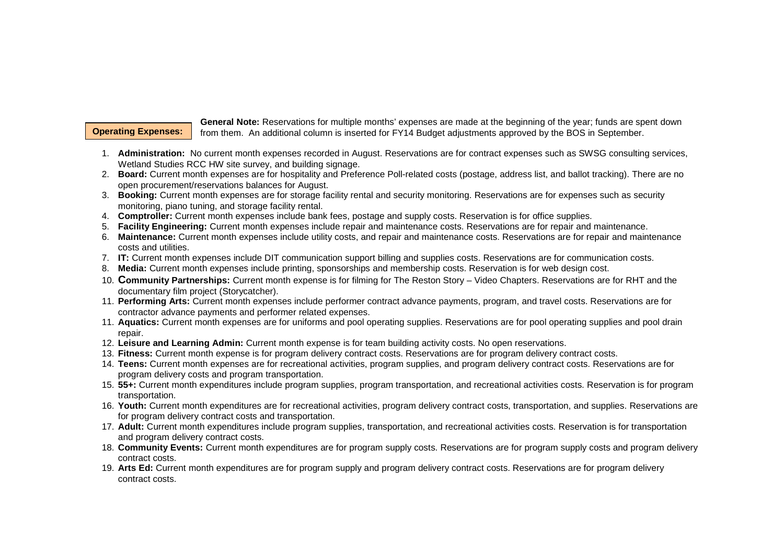## **Operating Expenses:**

**General Note:** Reservations for multiple months' expenses are made at the beginning of the year; funds are spent down from them. An additional column is inserted for FY14 Budget adjustments approved by the BOS in September.

- 1. **Administration:** No current month expenses recorded in August. Reservations are for contract expenses such as SWSG consulting services, Wetland Studies RCC HW site survey, and building signage.
- 2. **Board:** Current month expenses are for hospitality and Preference Poll-related costs (postage, address list, and ballot tracking). There are no open procurement/reservations balances for August.
- 3. **Booking:** Current month expenses are for storage facility rental and security monitoring. Reservations are for expenses such as security monitoring, piano tuning, and storage facility rental.
- 4. **Comptroller:** Current month expenses include bank fees, postage and supply costs. Reservation is for office supplies.
- 5. **Facility Engineering:** Current month expenses include repair and maintenance costs. Reservations are for repair and maintenance.
- 6. **Maintenance:** Current month expenses include utility costs, and repair and maintenance costs. Reservations are for repair and maintenance costs and utilities.
- 7. **IT:** Current month expenses include DIT communication support billing and supplies costs. Reservations are for communication costs.
- 8. **Media:** Current month expenses include printing, sponsorships and membership costs. Reservation is for web design cost.
- 10. **Community Partnerships:** Current month expense is for filming for The Reston Story Video Chapters. Reservations are for RHT and the documentary film project (Storycatcher).
- 11. **Performing Arts:** Current month expenses include performer contract advance payments, program, and travel costs. Reservations are for contractor advance payments and performer related expenses.
- 11. **Aquatics:** Current month expenses are for uniforms and pool operating supplies. Reservations are for pool operating supplies and pool drain repair.
- 12. **Leisure and Learning Admin:** Current month expense is for team building activity costs. No open reservations.
- 13. **Fitness:** Current month expense is for program delivery contract costs. Reservations are for program delivery contract costs.
- 14. **Teens:** Current month expenses are for recreational activities, program supplies, and program delivery contract costs. Reservations are for program delivery costs and program transportation.
- 15. **55+:** Current month expenditures include program supplies, program transportation, and recreational activities costs. Reservation is for program transportation.
- 16. **Youth:** Current month expenditures are for recreational activities, program delivery contract costs, transportation, and supplies. Reservations are for program delivery contract costs and transportation.
- 17. **Adult:** Current month expenditures include program supplies, transportation, and recreational activities costs. Reservation is for transportation and program delivery contract costs.
- 18. **Community Events:** Current month expenditures are for program supply costs. Reservations are for program supply costs and program delivery contract costs.
- 19. **Arts Ed:** Current month expenditures are for program supply and program delivery contract costs. Reservations are for program delivery contract costs.